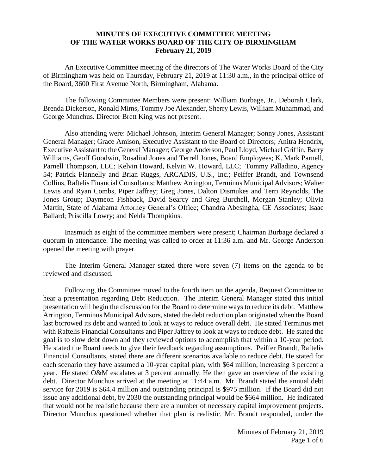## **MINUTES OF EXECUTIVE COMMITTEE MEETING OF THE WATER WORKS BOARD OF THE CITY OF BIRMINGHAM February 21, 2019**

An Executive Committee meeting of the directors of The Water Works Board of the City of Birmingham was held on Thursday, February 21, 2019 at 11:30 a.m., in the principal office of the Board, 3600 First Avenue North, Birmingham, Alabama.

The following Committee Members were present: William Burbage, Jr., Deborah Clark, Brenda Dickerson, Ronald Mims, Tommy Joe Alexander, Sherry Lewis, William Muhammad, and George Munchus. Director Brett King was not present.

Also attending were: Michael Johnson, Interim General Manager; Sonny Jones, Assistant General Manager; Grace Amison, Executive Assistant to the Board of Directors; Anitra Hendrix, Executive Assistant to the General Manager; George Anderson, Paul Lloyd, Michael Griffin, Barry Williams, Geoff Goodwin, Rosalind Jones and Terrell Jones, Board Employees; K. Mark Parnell, Parnell Thompson, LLC; Kelvin Howard, Kelvin W. Howard, LLC; Tommy Palladino, Agency 54; Patrick Flannelly and Brian Ruggs, ARCADIS, U.S., Inc.; Peiffer Brandt, and Townsend Collins, Raftelis Financial Consultants; Matthew Arrington, Terminus Municipal Advisors; Walter Lewis and Ryan Combs, Piper Jaffrey; Greg Jones, Dalton Dismukes and Terri Reynolds, The Jones Group; Daymeon Fishback, David Searcy and Greg Burchell, Morgan Stanley; Olivia Martin, State of Alabama Attorney General's Office; Chandra Abesingha, CE Associates; Isaac Ballard; Priscilla Lowry; and Nelda Thompkins.

Inasmuch as eight of the committee members were present; Chairman Burbage declared a quorum in attendance. The meeting was called to order at 11:36 a.m. and Mr. George Anderson opened the meeting with prayer.

The Interim General Manager stated there were seven (7) items on the agenda to be reviewed and discussed.

Following, the Committee moved to the fourth item on the agenda, Request Committee to hear a presentation regarding Debt Reduction. The Interim General Manager stated this initial presentation will begin the discussion for the Board to determine ways to reduce its debt. Matthew Arrington, Terminus Municipal Advisors, stated the debt reduction plan originated when the Board last borrowed its debt and wanted to look at ways to reduce overall debt. He stated Terminus met with Raftelis Financial Consultants and Piper Jaffrey to look at ways to reduce debt. He stated the goal is to slow debt down and they reviewed options to accomplish that within a 10-year period. He stated the Board needs to give their feedback regarding assumptions. Peiffer Brandt, Raftelis Financial Consultants, stated there are different scenarios available to reduce debt. He stated for each scenario they have assumed a 10-year capital plan, with \$64 million, increasing 3 percent a year. He stated O&M escalates at 3 percent annually. He then gave an overview of the existing debt. Director Munchus arrived at the meeting at 11:44 a.m. Mr. Brandt stated the annual debt service for 2019 is \$64.4 million and outstanding principal is \$975 million. If the Board did not issue any additional debt, by 2030 the outstanding principal would be \$664 million. He indicated that would not be realistic because there are a number of necessary capital improvement projects. Director Munchus questioned whether that plan is realistic. Mr. Brandt responded, under the

> Minutes of February 21, 2019 Page 1 of 6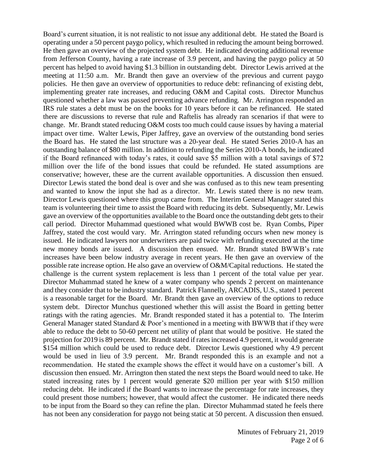Board's current situation, it is not realistic to not issue any additional debt. He stated the Board is operating under a 50 percent paygo policy, which resulted in reducing the amount being borrowed. He then gave an overview of the projected system debt. He indicated devoting additional revenue from Jefferson County, having a rate increase of 3.9 percent, and having the paygo policy at 50 percent has helped to avoid having \$1.3 billion in outstanding debt. Director Lewis arrived at the meeting at 11:50 a.m. Mr. Brandt then gave an overview of the previous and current paygo policies. He then gave an overview of opportunities to reduce debt: refinancing of existing debt, implementing greater rate increases, and reducing O&M and Capital costs. Director Munchus questioned whether a law was passed preventing advance refunding. Mr. Arrington responded an IRS rule states a debt must be on the books for 10 years before it can be refinanced. He stated there are discussions to reverse that rule and Raftelis has already ran scenarios if that were to change. Mr. Brandt stated reducing O&M costs too much could cause issues by having a material impact over time. Walter Lewis, Piper Jaffrey, gave an overview of the outstanding bond series the Board has. He stated the last structure was a 20-year deal. He stated Series 2010-A has an outstanding balance of \$80 million. In addition to refunding the Series 2010-A bonds, he indicated if the Board refinanced with today's rates, it could save \$5 million with a total savings of \$72 million over the life of the bond issues that could be refunded. He stated assumptions are conservative; however, these are the current available opportunities. A discussion then ensued. Director Lewis stated the bond deal is over and she was confused as to this new team presenting and wanted to know the input she had as a director. Mr. Lewis stated there is no new team. Director Lewis questioned where this group came from. The Interim General Manager stated this team is volunteering their time to assist the Board with reducing its debt. Subsequently, Mr. Lewis gave an overview of the opportunities available to the Board once the outstanding debt gets to their call period. Director Muhammad questioned what would BWWB cost be. Ryan Combs, Piper Jaffrey, stated the cost would vary. Mr. Arrington stated refunding occurs when new money is issued. He indicated lawyers nor underwriters are paid twice with refunding executed at the time new money bonds are issued. A discussion then ensued. Mr. Brandt stated BWWB's rate increases have been below industry average in recent years. He then gave an overview of the possible rate increase option. He also gave an overview of O&M/Capital reductions. He stated the challenge is the current system replacement is less than 1 percent of the total value per year. Director Muhammad stated he knew of a water company who spends 2 percent on maintenance and they consider that to be industry standard. Patrick Flannelly, ARCADIS, U.S., stated 1 percent is a reasonable target for the Board. Mr. Brandt then gave an overview of the options to reduce system debt. Director Munchus questioned whether this will assist the Board in getting better ratings with the rating agencies. Mr. Brandt responded stated it has a potential to. The Interim General Manager stated Standard & Poor's mentioned in a meeting with BWWB that if they were able to reduce the debt to 50-60 percent net utility of plant that would be positive. He stated the projection for 2019 is 89 percent. Mr. Brandt stated if rates increased 4.9 percent, it would generate \$154 million which could be used to reduce debt. Director Lewis questioned why 4.9 percent would be used in lieu of 3.9 percent. Mr. Brandt responded this is an example and not a recommendation. He stated the example shows the effect it would have on a customer's bill. A discussion then ensued. Mr. Arrington then stated the next steps the Board would need to take. He stated increasing rates by 1 percent would generate \$20 million per year with \$150 million reducing debt. He indicated if the Board wants to increase the percentage for rate increases, they could present those numbers; however, that would affect the customer. He indicated there needs to be input from the Board so they can refine the plan. Director Muhammad stated he feels there has not been any consideration for paygo not being static at 50 percent. A discussion then ensued.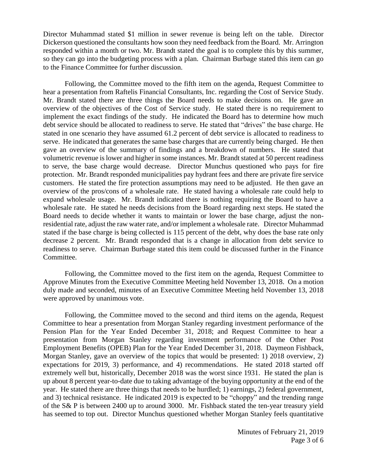Director Muhammad stated \$1 million in sewer revenue is being left on the table. Director Dickerson questioned the consultants how soon they need feedback from the Board. Mr. Arrington responded within a month or two. Mr. Brandt stated the goal is to complete this by this summer, so they can go into the budgeting process with a plan. Chairman Burbage stated this item can go to the Finance Committee for further discussion.

Following, the Committee moved to the fifth item on the agenda, Request Committee to hear a presentation from Raftelis Financial Consultants, Inc. regarding the Cost of Service Study. Mr. Brandt stated there are three things the Board needs to make decisions on. He gave an overview of the objectives of the Cost of Service study. He stated there is no requirement to implement the exact findings of the study. He indicated the Board has to determine how much debt service should be allocated to readiness to serve. He stated that "drives" the base charge. He stated in one scenario they have assumed 61.2 percent of debt service is allocated to readiness to serve. He indicated that generates the same base charges that are currently being charged. He then gave an overview of the summary of findings and a breakdown of numbers. He stated that volumetric revenue is lower and higher in some instances. Mr. Brandt stated at 50 percent readiness to serve, the base charge would decrease. Director Munchus questioned who pays for fire protection. Mr. Brandt responded municipalities pay hydrant fees and there are private fire service customers. He stated the fire protection assumptions may need to be adjusted. He then gave an overview of the pros/cons of a wholesale rate. He stated having a wholesale rate could help to expand wholesale usage. Mr. Brandt indicated there is nothing requiring the Board to have a wholesale rate. He stated he needs decisions from the Board regarding next steps. He stated the Board needs to decide whether it wants to maintain or lower the base charge, adjust the nonresidential rate, adjust the raw water rate, and/or implement a wholesale rate. Director Muhammad stated if the base charge is being collected is 115 percent of the debt, why does the base rate only decrease 2 percent. Mr. Brandt responded that is a change in allocation from debt service to readiness to serve. Chairman Burbage stated this item could be discussed further in the Finance Committee.

Following, the Committee moved to the first item on the agenda, Request Committee to Approve Minutes from the Executive Committee Meeting held November 13, 2018. On a motion duly made and seconded, minutes of an Executive Committee Meeting held November 13, 2018 were approved by unanimous vote.

Following, the Committee moved to the second and third items on the agenda, Request Committee to hear a presentation from Morgan Stanley regarding investment performance of the Pension Plan for the Year Ended December 31, 2018; and Request Committee to hear a presentation from Morgan Stanley regarding investment performance of the Other Post Employment Benefits (OPEB) Plan for the Year Ended December 31, 2018. Daymeon Fishback, Morgan Stanley, gave an overview of the topics that would be presented: 1) 2018 overview, 2) expectations for 2019, 3) performance, and 4) recommendations. He stated 2018 started off extremely well but, historically, December 2018 was the worst since 1931. He stated the plan is up about 8 percent year-to-date due to taking advantage of the buying opportunity at the end of the year. He stated there are three things that needs to be hurdled; 1) earnings, 2) federal government, and 3) technical resistance. He indicated 2019 is expected to be "choppy" and the trending range of the S& P is between 2400 up to around 3000. Mr. Fishback stated the ten-year treasury yield has seemed to top out. Director Munchus questioned whether Morgan Stanley feels quantitative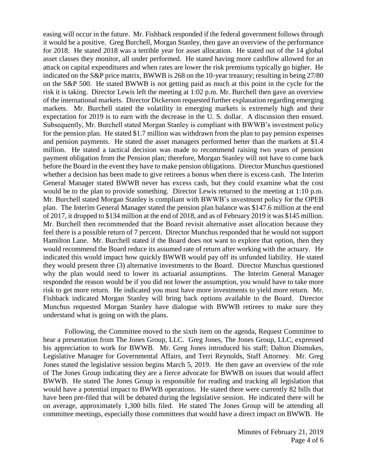easing will occur in the future. Mr. Fishback responded if the federal government follows through it would be a positive. Greg Burchell, Morgan Stanley, then gave an overview of the performance for 2018. He stated 2018 was a terrible year for asset allocation. He stated out of the 14 global asset classes they monitor, all under performed. He stated having more cashflow allowed for an attack on capital expenditures and when rates are lower the risk premiums typically go higher. He indicated on the S&P price matrix, BWWB is 268 on the 10-year treasury; resulting in being 27/80 on the S&P 500. He stated BWWB is not getting paid as much at this point in the cycle for the risk it is taking. Director Lewis left the meeting at 1:02 p.m. Mr. Burchell then gave an overview of the international markets. Director Dickerson requested further explanation regarding emerging markets. Mr. Burchell stated the volatility in emerging markets is extremely high and their expectation for 2019 is to earn with the decrease in the U. S. dollar. A discussion then ensued. Subsequently, Mr. Burchell stated Morgan Stanley is compliant with BWWB's investment policy for the pension plan. He stated \$1.7 million was withdrawn from the plan to pay pension expenses and pension payments. He stated the asset managers performed better than the markets at \$1.4 million. He stated a tactical decision was made to recommend raising two years of pension payment obligation from the Pension plan; therefore, Morgan Stanley will not have to come back before the Board in the event they have to make pension obligations. Director Munchus questioned whether a decision has been made to give retirees a bonus when there is excess cash. The Interim General Manager stated BWWB never has excess cash, but they could examine what the cost would be to the plan to provide something. Director Lewis returned to the meeting at 1:10 p.m. Mr. Burchell stated Morgan Stanley is compliant with BWWB's investment policy for the OPEB plan. The Interim General Manager stated the pension plan balance was \$147.6 million at the end of 2017, it dropped to \$134 million at the end of 2018, and as of February 2019 it was \$145 million. Mr. Burchell then recommended that the Board revisit alternative asset allocation because they feel there is a possible return of 7 percent. Director Munchus responded that he would not support Hamilton Lane. Mr. Burchell stated if the Board does not want to explore that option, then they would recommend the Board reduce its assumed rate of return after working with the actuary. He indicated this would impact how quickly BWWB would pay off its unfunded liability. He stated they would present three (3) alternative investments to the Board. Director Munchus questioned why the plan would need to lower its actuarial assumptions. The Interim General Manager responded the reason would be if you did not lower the assumption, you would have to take more risk to get more return. He indicated you must have more investments to yield more return. Mr. Fishback indicated Morgan Stanley will bring back options available to the Board. Director Munchus requested Morgan Stanley have dialogue with BWWB retirees to make sure they understand what is going on with the plans.

Following, the Committee moved to the sixth item on the agenda, Request Committee to hear a presentation from The Jones Group, LLC. Greg Jones, The Jones Group, LLC, expressed his appreciation to work for BWWB. Mr. Greg Jones introduced his staff; Dalton Dismukes, Legislative Manager for Governmental Affairs, and Terri Reynolds, Staff Attorney. Mr. Greg Jones stated the legislative session begins March 5, 2019. He then gave an overview of the role of The Jones Group indicating they are a fierce advocate for BWWB on issues that would affect BWWB. He stated The Jones Group is responsible for reading and tracking all legislation that would have a potential impact to BWWB operations. He stated there were currently 82 bills that have been pre-filed that will be debated during the legislative session. He indicated there will be on average, approximately 1,300 bills filed. He stated The Jones Group will be attending all committee meetings, especially those committees that would have a direct impact on BWWB. He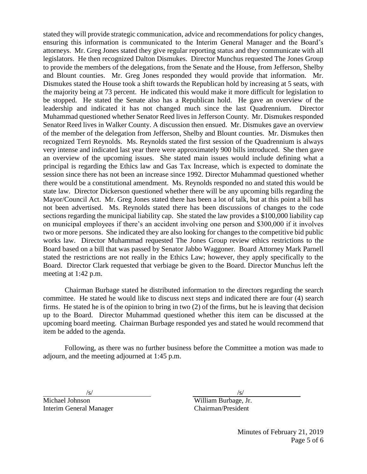stated they will provide strategic communication, advice and recommendations for policy changes, ensuring this information is communicated to the Interim General Manager and the Board's attorneys. Mr. Greg Jones stated they give regular reporting status and they communicate with all legislators. He then recognized Dalton Dismukes. Director Munchus requested The Jones Group to provide the members of the delegations, from the Senate and the House, from Jefferson, Shelby and Blount counties. Mr. Greg Jones responded they would provide that information. Mr. Dismukes stated the House took a shift towards the Republican hold by increasing at 5 seats, with the majority being at 73 percent. He indicated this would make it more difficult for legislation to be stopped. He stated the Senate also has a Republican hold. He gave an overview of the leadership and indicated it has not changed much since the last Quadrennium. Director Muhammad questioned whether Senator Reed lives in Jefferson County. Mr. Dismukes responded Senator Reed lives in Walker County. A discussion then ensued. Mr. Dismukes gave an overview of the member of the delegation from Jefferson, Shelby and Blount counties. Mr. Dismukes then recognized Terri Reynolds. Ms. Reynolds stated the first session of the Quadrennium is always very intense and indicated last year there were approximately 900 bills introduced. She then gave an overview of the upcoming issues. She stated main issues would include defining what a principal is regarding the Ethics law and Gas Tax Increase, which is expected to dominate the session since there has not been an increase since 1992. Director Muhammad questioned whether there would be a constitutional amendment. Ms. Reynolds responded no and stated this would be state law. Director Dickerson questioned whether there will be any upcoming bills regarding the Mayor/Council Act. Mr. Greg Jones stated there has been a lot of talk, but at this point a bill has not been advertised. Ms. Reynolds stated there has been discussions of changes to the code sections regarding the municipal liability cap. She stated the law provides a \$100,000 liability cap on municipal employees if there's an accident involving one person and \$300,000 if it involves two or more persons. She indicated they are also looking for changes to the competitive bid public works law. Director Muhammad requested The Jones Group review ethics restrictions to the Board based on a bill that was passed by Senator Jabbo Waggoner. Board Attorney Mark Parnell stated the restrictions are not really in the Ethics Law; however, they apply specifically to the Board. Director Clark requested that verbiage be given to the Board. Director Munchus left the meeting at 1:42 p.m.

Chairman Burbage stated he distributed information to the directors regarding the search committee. He stated he would like to discuss next steps and indicated there are four (4) search firms. He stated he is of the opinion to bring in two (2) of the firms, but he is leaving that decision up to the Board. Director Muhammad questioned whether this item can be discussed at the upcoming board meeting. Chairman Burbage responded yes and stated he would recommend that item be added to the agenda.

Following, as there was no further business before the Committee a motion was made to adjourn, and the meeting adjourned at 1:45 p.m.

Michael Johnson William Burbage, Jr. Interim General Manager Chairman/President

 $\sqrt{s}/\sqrt{s}$